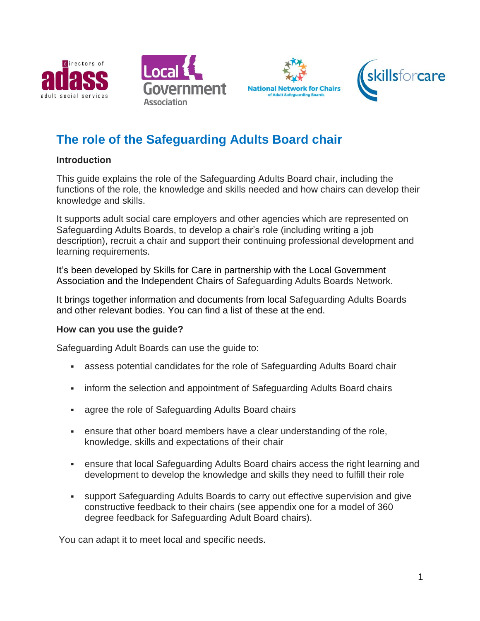







# **The role of the Safeguarding Adults Board chair**

#### **Introduction**

This guide explains the role of the Safeguarding Adults Board chair, including the functions of the role, the knowledge and skills needed and how chairs can develop their knowledge and skills.

It supports adult social care employers and other agencies which are represented on Safeguarding Adults Boards, to develop a chair's role (including writing a job description), recruit a chair and support their continuing professional development and learning requirements.

It's been developed by Skills for Care in partnership with the Local Government Association and the Independent Chairs of Safeguarding Adults Boards Network.

It brings together information and documents from local Safeguarding Adults Boards and other relevant bodies. You can find a list of these at the end.

#### **How can you use the guide?**

Safeguarding Adult Boards can use the guide to:

- assess potential candidates for the role of Safeguarding Adults Board chair
- inform the selection and appointment of Safeguarding Adults Board chairs
- agree the role of Safeguarding Adults Board chairs
- ensure that other board members have a clear understanding of the role, knowledge, skills and expectations of their chair
- ensure that local Safeguarding Adults Board chairs access the right learning and development to develop the knowledge and skills they need to fulfill their role
- support Safeguarding Adults Boards to carry out effective supervision and give constructive feedback to their chairs (see appendix one for a model of 360 degree feedback for Safeguarding Adult Board chairs).

You can adapt it to meet local and specific needs.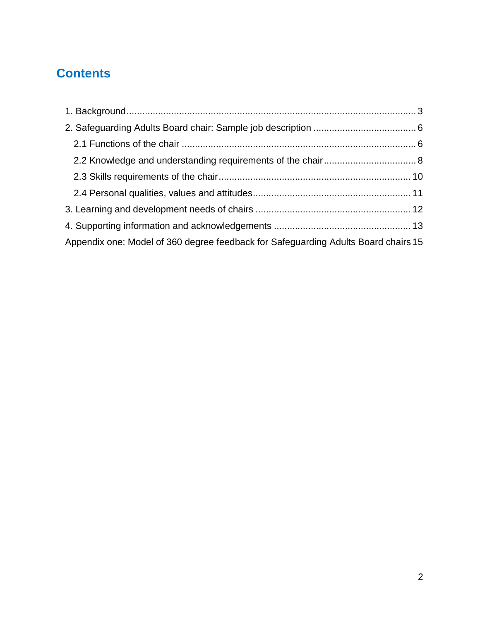# **Contents**

| Appendix one: Model of 360 degree feedback for Safeguarding Adults Board chairs 15 |  |
|------------------------------------------------------------------------------------|--|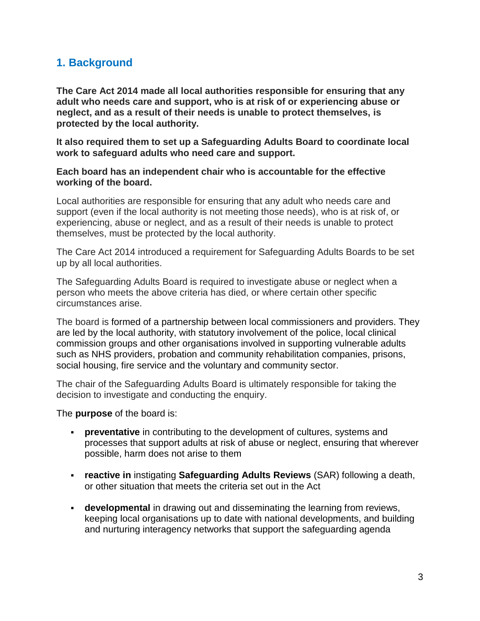## <span id="page-2-0"></span>**1. Background**

**The Care Act 2014 made all local authorities responsible for ensuring that any adult who needs care and support, who is at risk of or experiencing abuse or neglect, and as a result of their needs is unable to protect themselves, is protected by the local authority.** 

**It also required them to set up a Safeguarding Adults Board to coordinate local work to safeguard adults who need care and support.** 

**Each board has an independent chair who is accountable for the effective working of the board.** 

Local authorities are responsible for ensuring that any adult who needs care and support (even if the local authority is not meeting those needs), who is at risk of, or experiencing, abuse or neglect, and as a result of their needs is unable to protect themselves, must be protected by the local authority.

The Care Act 2014 introduced a requirement for Safeguarding Adults Boards to be set up by all local authorities.

The Safeguarding Adults Board is required to investigate abuse or neglect when a person who meets the above criteria has died, or where certain other specific circumstances arise.

The board is formed of a partnership between local commissioners and providers. They are led by the local authority, with statutory involvement of the police, local clinical commission groups and other organisations involved in supporting vulnerable adults such as NHS providers, probation and community rehabilitation companies, prisons, social housing, fire service and the voluntary and community sector.

The chair of the Safeguarding Adults Board is ultimately responsible for taking the decision to investigate and conducting the enquiry.

The **purpose** of the board is:

- **preventative** in contributing to the development of cultures, systems and processes that support adults at risk of abuse or neglect, ensuring that wherever possible, harm does not arise to them
- **reactive in** instigating **Safeguarding Adults Reviews** (SAR) following a death, or other situation that meets the criteria set out in the Act
- **developmental** in drawing out and disseminating the learning from reviews, keeping local organisations up to date with national developments, and building and nurturing interagency networks that support the safeguarding agenda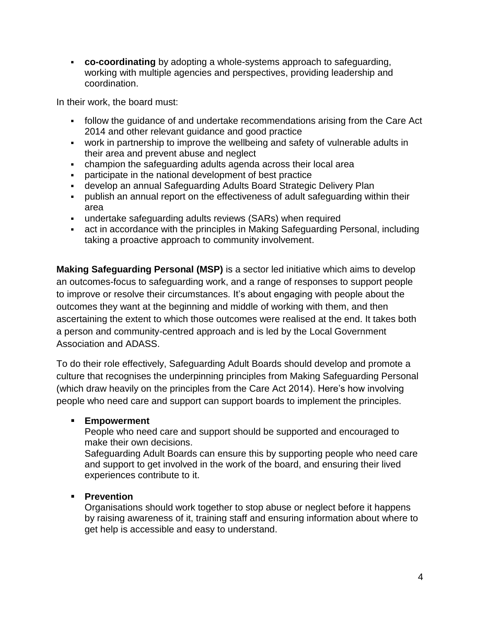**co-coordinating** by adopting a whole-systems approach to safeguarding, working with multiple agencies and perspectives, providing leadership and coordination.

In their work, the board must:

- follow the guidance of and undertake recommendations arising from the Care Act 2014 and other relevant guidance and good practice
- work in partnership to improve the wellbeing and safety of vulnerable adults in their area and prevent abuse and neglect
- champion the safeguarding adults agenda across their local area
- participate in the national development of best practice
- develop an annual Safeguarding Adults Board Strategic Delivery Plan
- publish an annual report on the effectiveness of adult safeguarding within their area
- undertake safeguarding adults reviews (SARs) when required
- act in accordance with the principles in Making Safeguarding Personal, including taking a proactive approach to community involvement.

**Making Safeguarding Personal (MSP)** is a sector led initiative which aims to develop an outcomes-focus to safeguarding work, and a range of responses to support people to improve or resolve their circumstances. It's about engaging with people about the outcomes they want at the beginning and middle of working with them, and then ascertaining the extent to which those outcomes were realised at the end. It takes both a person and community-centred approach and is led by the Local Government Association and ADASS.

To do their role effectively, Safeguarding Adult Boards should develop and promote a culture that recognises the underpinning principles from Making Safeguarding Personal (which draw heavily on the principles from the Care Act 2014). Here's how involving people who need care and support can support boards to implement the principles.

#### **Empowerment**

People who need care and support should be supported and encouraged to make their own decisions.

Safeguarding Adult Boards can ensure this by supporting people who need care and support to get involved in the work of the board, and ensuring their lived experiences contribute to it.

#### **Prevention**

Organisations should work together to stop abuse or neglect before it happens by raising awareness of it, training staff and ensuring information about where to get help is accessible and easy to understand.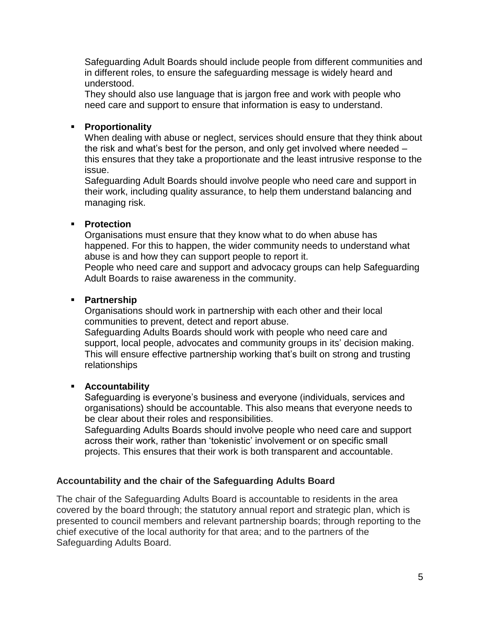Safeguarding Adult Boards should include people from different communities and in different roles, to ensure the safeguarding message is widely heard and understood.

They should also use language that is jargon free and work with people who need care and support to ensure that information is easy to understand.

#### **Proportionality**

When dealing with abuse or neglect, services should ensure that they think about the risk and what's best for the person, and only get involved where needed – this ensures that they take a proportionate and the least intrusive response to the issue.

Safeguarding Adult Boards should involve people who need care and support in their work, including quality assurance, to help them understand balancing and managing risk.

#### **Protection**

Organisations must ensure that they know what to do when abuse has happened. For this to happen, the wider community needs to understand what abuse is and how they can support people to report it.

People who need care and support and advocacy groups can help Safeguarding Adult Boards to raise awareness in the community.

#### **Partnership**

Organisations should work in partnership with each other and their local communities to prevent, detect and report abuse.

Safeguarding Adults Boards should work with people who need care and support, local people, advocates and community groups in its' decision making. This will ensure effective partnership working that's built on strong and trusting relationships

#### **Accountability**

Safeguarding is everyone's business and everyone (individuals, services and organisations) should be accountable. This also means that everyone needs to be clear about their roles and responsibilities.

Safeguarding Adults Boards should involve people who need care and support across their work, rather than 'tokenistic' involvement or on specific small projects. This ensures that their work is both transparent and accountable.

#### **Accountability and the chair of the Safeguarding Adults Board**

The chair of the Safeguarding Adults Board is accountable to residents in the area covered by the board through; the statutory annual report and strategic plan, which is presented to council members and relevant partnership boards; through reporting to the chief executive of the local authority for that area; and to the partners of the Safeguarding Adults Board.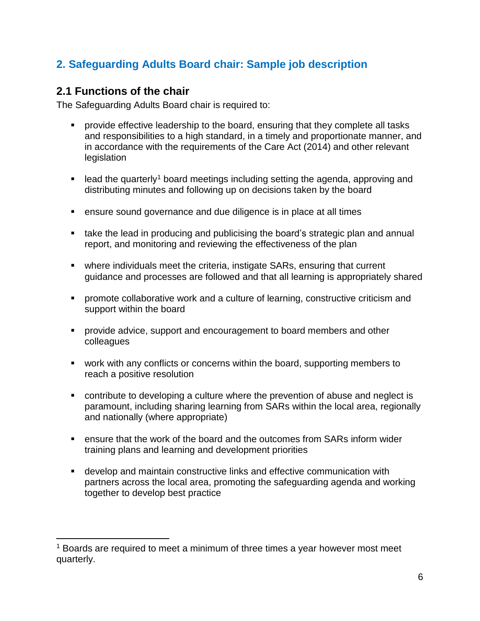# <span id="page-5-0"></span>**2. Safeguarding Adults Board chair: Sample job description**

### <span id="page-5-1"></span>**2.1 Functions of the chair**

 $\overline{\phantom{a}}$ 

The Safeguarding Adults Board chair is required to:

- **Perovide effective leadership to the board, ensuring that they complete all tasks** and responsibilities to a high standard, in a timely and proportionate manner, and in accordance with the requirements of the Care Act (2014) and other relevant legislation
- lead the quarterly<sup>1</sup> board meetings including setting the agenda, approving and distributing minutes and following up on decisions taken by the board
- ensure sound governance and due diligence is in place at all times
- take the lead in producing and publicising the board's strategic plan and annual report, and monitoring and reviewing the effectiveness of the plan
- where individuals meet the criteria, instigate SARs, ensuring that current guidance and processes are followed and that all learning is appropriately shared
- **•** promote collaborative work and a culture of learning, constructive criticism and support within the board
- **PEDECIST:** provide advice, support and encouragement to board members and other colleagues
- work with any conflicts or concerns within the board, supporting members to reach a positive resolution
- contribute to developing a culture where the prevention of abuse and neglect is paramount, including sharing learning from SARs within the local area, regionally and nationally (where appropriate)
- ensure that the work of the board and the outcomes from SARs inform wider training plans and learning and development priorities
- develop and maintain constructive links and effective communication with partners across the local area, promoting the safeguarding agenda and working together to develop best practice

<sup>&</sup>lt;sup>1</sup> Boards are required to meet a minimum of three times a year however most meet quarterly.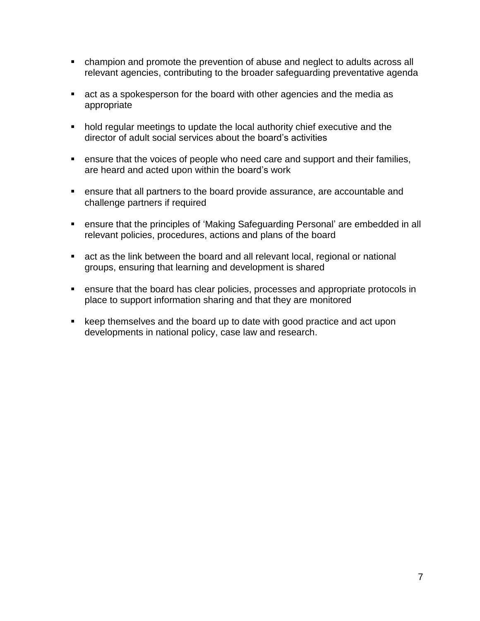- champion and promote the prevention of abuse and neglect to adults across all relevant agencies, contributing to the broader safeguarding preventative agenda
- act as a spokesperson for the board with other agencies and the media as appropriate
- hold regular meetings to update the local authority chief executive and the director of adult social services about the board's activities
- ensure that the voices of people who need care and support and their families, are heard and acted upon within the board's work
- ensure that all partners to the board provide assurance, are accountable and challenge partners if required
- ensure that the principles of 'Making Safeguarding Personal' are embedded in all relevant policies, procedures, actions and plans of the board
- act as the link between the board and all relevant local, regional or national groups, ensuring that learning and development is shared
- ensure that the board has clear policies, processes and appropriate protocols in place to support information sharing and that they are monitored
- keep themselves and the board up to date with good practice and act upon developments in national policy, case law and research.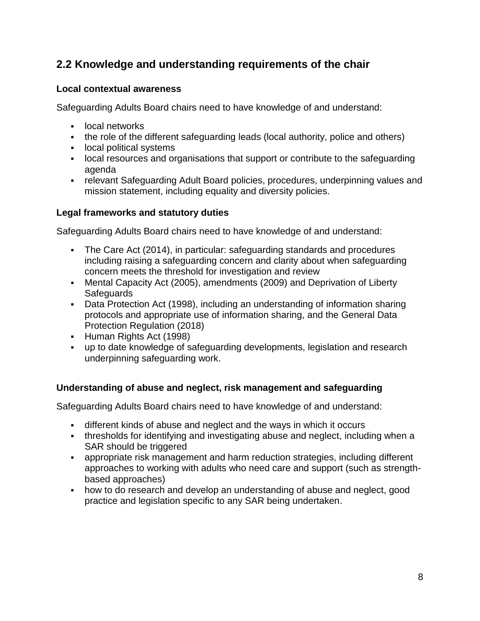# <span id="page-7-0"></span>**2.2 Knowledge and understanding requirements of the chair**

#### **Local contextual awareness**

Safeguarding Adults Board chairs need to have knowledge of and understand:

- **-** local networks
- the role of the different safeguarding leads (local authority, police and others)
- **-** local political systems
- local resources and organisations that support or contribute to the safeguarding agenda
- relevant Safeguarding Adult Board policies, procedures, underpinning values and mission statement, including equality and diversity policies.

#### **Legal frameworks and statutory duties**

Safeguarding Adults Board chairs need to have knowledge of and understand:

- The Care Act (2014), in particular: safeguarding standards and procedures including raising a safeguarding concern and clarity about when safeguarding concern meets the threshold for investigation and review
- Mental Capacity Act (2005), amendments (2009) and Deprivation of Liberty **Safeguards**
- Data Protection Act (1998), including an understanding of information sharing protocols and appropriate use of information sharing, and the General Data Protection Regulation (2018)
- **Human Rights Act (1998)**
- up to date knowledge of safeguarding developments, legislation and research underpinning safeguarding work.

#### **Understanding of abuse and neglect, risk management and safeguarding**

Safeguarding Adults Board chairs need to have knowledge of and understand:

- different kinds of abuse and neglect and the ways in which it occurs
- thresholds for identifying and investigating abuse and neglect, including when a SAR should be triggered
- appropriate risk management and harm reduction strategies, including different approaches to working with adults who need care and support (such as strengthbased approaches)
- how to do research and develop an understanding of abuse and neglect, good practice and legislation specific to any SAR being undertaken.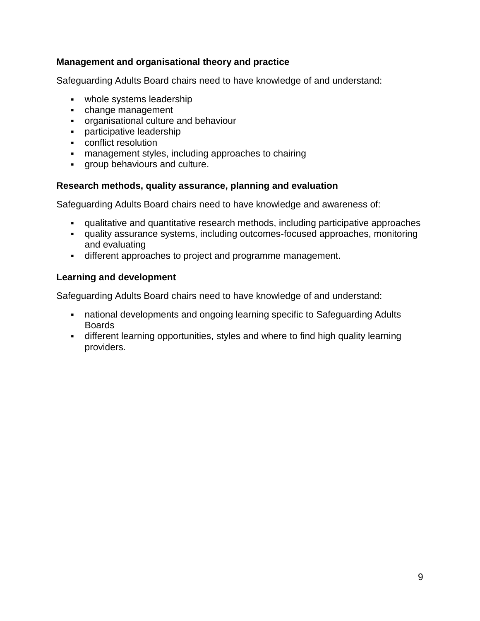#### **Management and organisational theory and practice**

Safeguarding Adults Board chairs need to have knowledge of and understand:

- whole systems leadership
- change management
- organisational culture and behaviour
- **participative leadership**
- conflict resolution
- management styles, including approaches to chairing
- group behaviours and culture.

#### **Research methods, quality assurance, planning and evaluation**

Safeguarding Adults Board chairs need to have knowledge and awareness of:

- qualitative and quantitative research methods, including participative approaches
- quality assurance systems, including outcomes-focused approaches, monitoring and evaluating
- different approaches to project and programme management.

#### **Learning and development**

Safeguarding Adults Board chairs need to have knowledge of and understand:

- national developments and ongoing learning specific to Safeguarding Adults Boards
- different learning opportunities, styles and where to find high quality learning providers.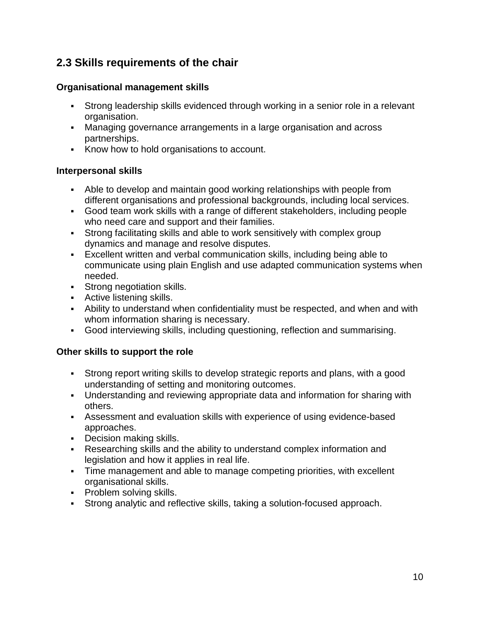# <span id="page-9-0"></span>**2.3 Skills requirements of the chair**

#### **Organisational management skills**

- Strong leadership skills evidenced through working in a senior role in a relevant organisation.
- Managing governance arrangements in a large organisation and across partnerships.
- Know how to hold organisations to account.

#### **Interpersonal skills**

- Able to develop and maintain good working relationships with people from different organisations and professional backgrounds, including local services.
- Good team work skills with a range of different stakeholders, including people who need care and support and their families.
- Strong facilitating skills and able to work sensitively with complex group dynamics and manage and resolve disputes.
- Excellent written and verbal communication skills, including being able to communicate using plain English and use adapted communication systems when needed.
- **Strong negotiation skills.**
- **Active listening skills.**
- Ability to understand when confidentiality must be respected, and when and with whom information sharing is necessary.
- Good interviewing skills, including questioning, reflection and summarising.

#### **Other skills to support the role**

- Strong report writing skills to develop strategic reports and plans, with a good understanding of setting and monitoring outcomes.
- Understanding and reviewing appropriate data and information for sharing with others.
- Assessment and evaluation skills with experience of using evidence-based approaches.
- **Decision making skills.**
- Researching skills and the ability to understand complex information and legislation and how it applies in real life.
- Time management and able to manage competing priorities, with excellent organisational skills.
- **Problem solving skills.**
- Strong analytic and reflective skills, taking a solution-focused approach.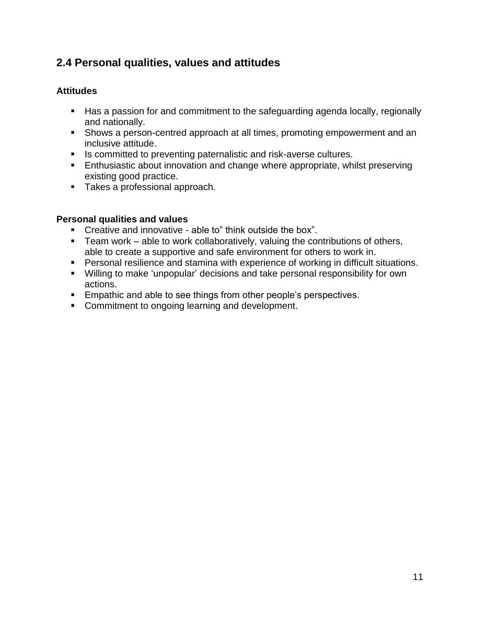# <span id="page-10-0"></span>**2.4 Personal qualities, values and attitudes**

#### **Attitudes**

- Has a passion for and commitment to the safeguarding agenda locally, regionally and nationally.
- Shows a person-centred approach at all times, promoting empowerment and an inclusive attitude.
- **IS committed to preventing paternalistic and risk-averse cultures.**
- **Enthusiastic about innovation and change where appropriate, whilst preserving** existing good practice.
- **Takes a professional approach.**

#### **Personal qualities and values**

- Creative and innovative able to" think outside the box".
- **Team work** able to work collaboratively, valuing the contributions of others, able to create a supportive and safe environment for others to work in.
- **Personal resilience and stamina with experience of working in difficult situations.**
- Willing to make 'unpopular' decisions and take personal responsibility for own actions.
- **Empathic and able to see things from other people's perspectives.**
- **Commitment to ongoing learning and development.**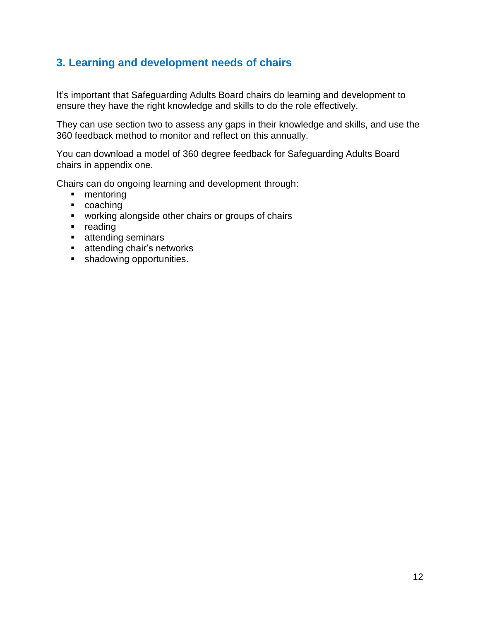### <span id="page-11-0"></span>**3. Learning and development needs of chairs**

It's important that Safeguarding Adults Board chairs do learning and development to ensure they have the right knowledge and skills to do the role effectively.

They can use section two to assess any gaps in their knowledge and skills, and use the 360 feedback method to monitor and reflect on this annually.

You can download a model of 360 degree feedback for Safeguarding Adults Board chairs in appendix one.

Chairs can do ongoing learning and development through:

- mentoring
- **coaching**
- **•** working alongside other chairs or groups of chairs
- **reading**
- **attending seminars**
- **EXECUTE:** attending chair's networks
- **shadowing opportunities.**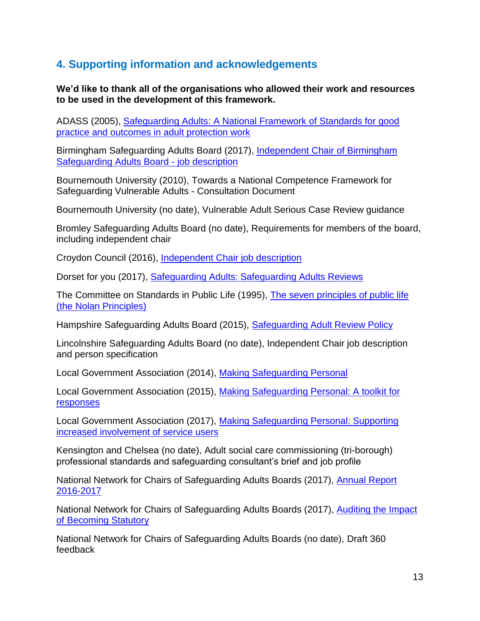# <span id="page-12-0"></span>**4. Supporting information and acknowledgements**

**We'd like to thank all of the organisations who allowed their work and resources to be used in the development of this framework.**

ADASS (2005), Safeguarding Adults: [A National Framework of Standards for good](https://www.adass.org.uk/adassmedia/stories/publications/guidance/safeguarding.pdf)  practice [and outcomes in adult protection work](https://www.adass.org.uk/adassmedia/stories/publications/guidance/safeguarding.pdf)

Birmingham Safeguarding Adults Board (2017), [Independent Chair of Birmingham](http://www.bsab.org/media/BSAB-Independent-Chair-JD-2017.docx)  [Safeguarding Adults Board -](http://www.bsab.org/media/BSAB-Independent-Chair-JD-2017.docx) job description

Bournemouth University (2010), Towards a National Competence Framework for Safeguarding Vulnerable Adults - Consultation Document

Bournemouth University (no date), Vulnerable Adult Serious Case Review guidance

Bromley Safeguarding Adults Board (no date), Requirements for members of the board, including independent chair

Croydon Council (2016), [Independent Chair job description](https://www.adass.org.uk/media/3951/role-profile-independent-chair-croydon-safeguarding-adults-board.pdf)

Dorset for you (2017), [Safeguarding Adults: Safeguarding Adults Reviews](https://www.dorsetforyou.gov.uk/article/406421/Safeguarding-Adults---Safeguarding-Adults-Reviews)

The Committee on Standards in Public Life (1995), [The seven principles of public life](https://www.gov.uk/government/publications/the-7-principles-of-public-life/the-7-principles-of-public-life--2)  [\(the Nolan Principles\)](https://www.gov.uk/government/publications/the-7-principles-of-public-life/the-7-principles-of-public-life--2) 

Hampshire Safeguarding Adults Board (2015), [Safeguarding Adult Review Policy](http://www.hampshiresab.org.uk/wp-content/uploads/HSAB-Safeguarding-Adult-Review-Policy-May-2015.pdf)

Lincolnshire Safeguarding Adults Board (no date), Independent Chair job description and person specification

Local Government Association (2014), [Making Safeguarding Personal](https://www.local.gov.uk/topics/social-care-health-and-integration/adult-social-care/making-safeguarding-personal)

Local Government Association (2015), [Making Safeguarding Personal: A toolkit for](https://www.adass.org.uk/media/5142/making-safeguarding-personal_a-toolkit-for-responses_4th-edition-2015.pdf)  [responses](https://www.adass.org.uk/media/5142/making-safeguarding-personal_a-toolkit-for-responses_4th-edition-2015.pdf)

Local Government Association (2017), [Making Safeguarding Personal: Supporting](https://www.local.gov.uk/making-safeguarding-personal-supporting-increased-involvement-services-users)  [increased involvement of service users](https://www.local.gov.uk/making-safeguarding-personal-supporting-increased-involvement-services-users)

Kensington and Chelsea (no date), Adult social care commissioning (tri-borough) professional standards and safeguarding consultant's brief and job profile

National Network for Chairs of Safeguarding Adults Boards (2017), [Annual Report](https://www.adass.org.uk/media/6015/the-national-network-of-safeguarding-adult-board-chairs-annual-report-final.pdf)  [2016-2017](https://www.adass.org.uk/media/6015/the-national-network-of-safeguarding-adult-board-chairs-annual-report-final.pdf)

National Network for Chairs of Safeguarding Adults Boards (2017), [Auditing the Impact](https://www.local.gov.uk/sites/default/files/documents/Safeguarding%20Adults%20Boards%20audit_August%202017.pdf)  [of Becoming Statutory](https://www.local.gov.uk/sites/default/files/documents/Safeguarding%20Adults%20Boards%20audit_August%202017.pdf)

National Network for Chairs of Safeguarding Adults Boards (no date), Draft 360 feedback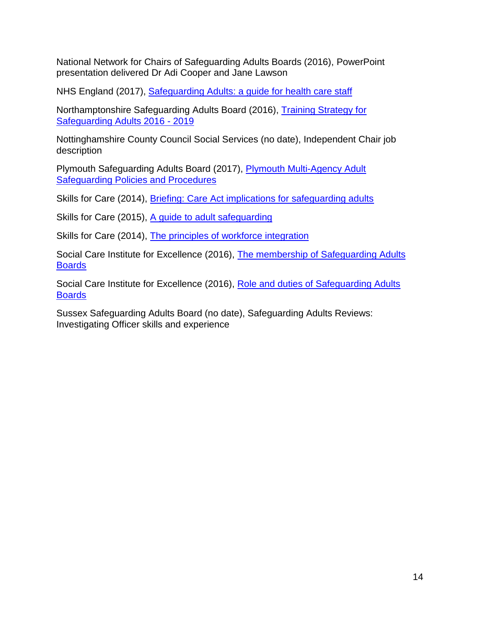National Network for Chairs of Safeguarding Adults Boards (2016), PowerPoint presentation delivered Dr Adi Cooper and Jane Lawson

NHS England (2017), [Safeguarding Adults: a guide for health care staff](file://filesrv01/shared/marketing%20&%20communications/TOPICS/Safeguarding/Resources/Safeguarding%20board%20chairs/NHS%20England:%20Safeguarding%20Adults%20guidance)

Northamptonshire Safeguarding Adults Board (2016), [Training Strategy for](https://www3.northamptonshire.gov.uk/councilservices/adult-social-care/safeguarding/Documents/NSAB%20Training%20Strategy%202016-2019%20v7.0.pdf)  [Safeguarding Adults 2016 -](https://www3.northamptonshire.gov.uk/councilservices/adult-social-care/safeguarding/Documents/NSAB%20Training%20Strategy%202016-2019%20v7.0.pdf) 2019

Nottinghamshire County Council Social Services (no date), Independent Chair job description

Plymouth Safeguarding Adults Board (2017), [Plymouth Multi-Agency Adult](http://plysab.proceduresonline.com/chapters/contents.html)  [Safeguarding Policies and Procedures](http://plysab.proceduresonline.com/chapters/contents.html)

Skills for Care (2014), [Briefing: Care Act implications for safeguarding adults](https://www.skillsforcare.org.uk/Document-library/Standards/Care-Act/learning-and-development/care-act-implications-for-safeguarding-adults-briefing.pdf)

Skills for Care (2015), [A guide to adult safeguarding](https://www.skillsforcare.org.uk/Documents/Topics/Safeguarding/A-guide-to-adult-safeguarding-for-social-care-providers.pdf)

Skills for Care (2014), [The principles of workforce integration](https://www.skillsforcare.org.uk/Documents/Topics/Safeguarding/A-guide-to-adult-safeguarding-for-social-care-providers.pdf)

Social Care Institute for Excellence (2016), [The membership of Safeguarding Adults](https://www.scie.org.uk/care-act-2014/safeguarding-adults/safeguarding-adults-boards-checklist-and-resources/membership/)  **[Boards](https://www.scie.org.uk/care-act-2014/safeguarding-adults/safeguarding-adults-boards-checklist-and-resources/membership/)** 

Social Care Institute for Excellence (2016), [Role and duties of Safeguarding Adults](https://www.scie.org.uk/care-act-2014/safeguarding-adults/safeguarding-adults-boards-checklist-and-resources/role-and-duties.asp)  **[Boards](https://www.scie.org.uk/care-act-2014/safeguarding-adults/safeguarding-adults-boards-checklist-and-resources/role-and-duties.asp)** 

Sussex Safeguarding Adults Board (no date), Safeguarding Adults Reviews: Investigating Officer skills and experience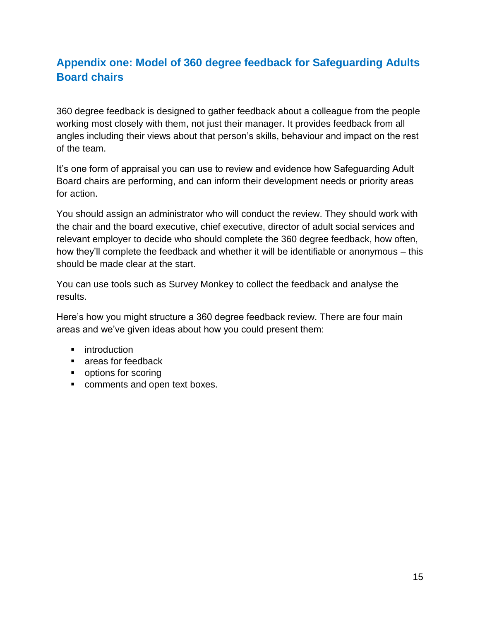# <span id="page-14-0"></span>**Appendix one: Model of 360 degree feedback for Safeguarding Adults Board chairs**

360 degree feedback is designed to gather feedback about a colleague from the people working most closely with them, not just their manager. It provides feedback from all angles including their views about that person's skills, behaviour and impact on the rest of the team.

It's one form of appraisal you can use to review and evidence how Safeguarding Adult Board chairs are performing, and can inform their development needs or priority areas for action.

You should assign an administrator who will conduct the review. They should work with the chair and the board executive, chief executive, director of adult social services and relevant employer to decide who should complete the 360 degree feedback, how often, how they'll complete the feedback and whether it will be identifiable or anonymous – this should be made clear at the start.

You can use tools such as Survey Monkey to collect the feedback and analyse the results.

Here's how you might structure a 360 degree feedback review. There are four main areas and we've given ideas about how you could present them:

- **u** introduction
- **Exercise** areas for feedback
- **•** options for scoring
- **COMMENTS and open text boxes.**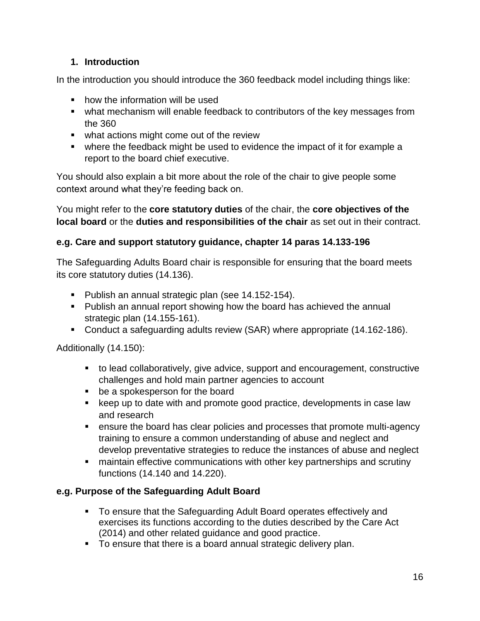### **1. Introduction**

In the introduction you should introduce the 360 feedback model including things like:

- how the information will be used
- what mechanism will enable feedback to contributors of the key messages from the 360
- what actions might come out of the review
- where the feedback might be used to evidence the impact of it for example a report to the board chief executive.

You should also explain a bit more about the role of the chair to give people some context around what they're feeding back on.

You might refer to the **core statutory duties** of the chair, the **core objectives of the local board** or the **duties and responsibilities of the chair** as set out in their contract.

### **e.g. Care and support statutory guidance, chapter 14 paras 14.133-196**

The Safeguarding Adults Board chair is responsible for ensuring that the board meets its core statutory duties (14.136).

- **Publish an annual strategic plan (see 14.152-154).**
- Publish an annual report showing how the board has achieved the annual strategic plan (14.155-161).
- Conduct a safeguarding adults review (SAR) where appropriate (14.162-186).

Additionally (14.150):

- to lead collaboratively, give advice, support and encouragement, constructive challenges and hold main partner agencies to account
- **be a spokesperson for the board**
- keep up to date with and promote good practice, developments in case law and research
- ensure the board has clear policies and processes that promote multi-agency training to ensure a common understanding of abuse and neglect and develop preventative strategies to reduce the instances of abuse and neglect
- maintain effective communications with other key partnerships and scrutiny functions (14.140 and 14.220).

#### **e.g. Purpose of the Safeguarding Adult Board**

- To ensure that the Safeguarding Adult Board operates effectively and exercises its functions according to the duties described by the Care Act (2014) and other related guidance and good practice.
- To ensure that there is a board annual strategic delivery plan.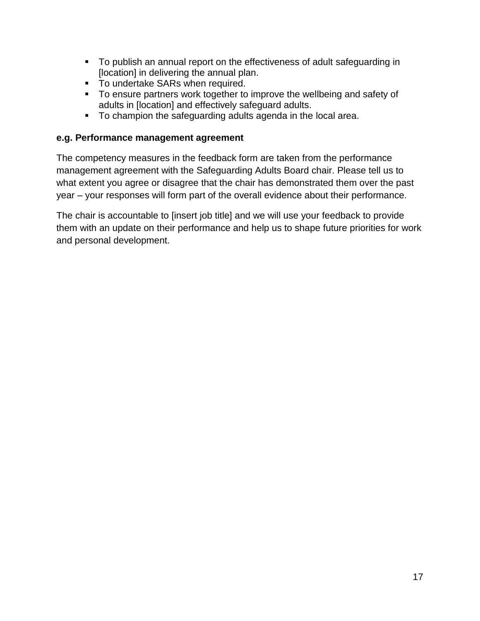- To publish an annual report on the effectiveness of adult safeguarding in [location] in delivering the annual plan.
- **To undertake SARs when required.**
- To ensure partners work together to improve the wellbeing and safety of adults in [location] and effectively safeguard adults.
- To champion the safeguarding adults agenda in the local area.

#### **e.g. Performance management agreement**

The competency measures in the feedback form are taken from the performance management agreement with the Safeguarding Adults Board chair. Please tell us to what extent you agree or disagree that the chair has demonstrated them over the past year – your responses will form part of the overall evidence about their performance.

The chair is accountable to [insert job title] and we will use your feedback to provide them with an update on their performance and help us to shape future priorities for work and personal development.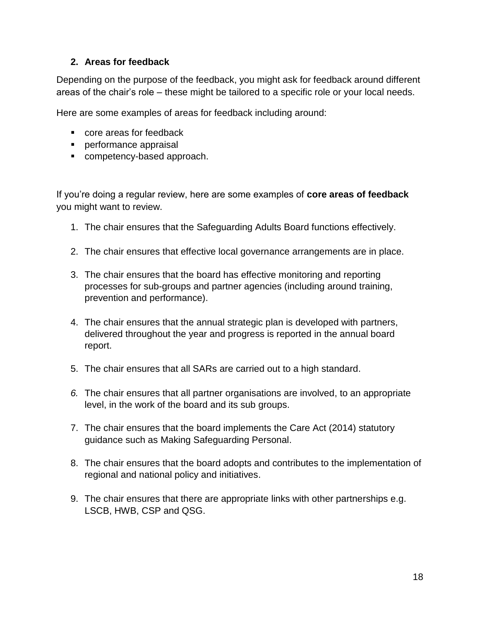#### **2. Areas for feedback**

Depending on the purpose of the feedback, you might ask for feedback around different areas of the chair's role – these might be tailored to a specific role or your local needs.

Here are some examples of areas for feedback including around:

- core areas for feedback
- **Performance appraisal**
- **Competency-based approach.**

If you're doing a regular review, here are some examples of **core areas of feedback** you might want to review.

- 1. The chair ensures that the Safeguarding Adults Board functions effectively.
- 2. The chair ensures that effective local governance arrangements are in place.
- 3. The chair ensures that the board has effective monitoring and reporting processes for sub-groups and partner agencies (including around training, prevention and performance).
- 4. The chair ensures that the annual strategic plan is developed with partners, delivered throughout the year and progress is reported in the annual board report.
- 5. The chair ensures that all SARs are carried out to a high standard.
- *6.* The chair ensures that all partner organisations are involved, to an appropriate level, in the work of the board and its sub groups.
- 7. The chair ensures that the board implements the Care Act (2014) statutory guidance such as Making Safeguarding Personal.
- 8. The chair ensures that the board adopts and contributes to the implementation of regional and national policy and initiatives.
- 9. The chair ensures that there are appropriate links with other partnerships e.g. LSCB, HWB, CSP and QSG.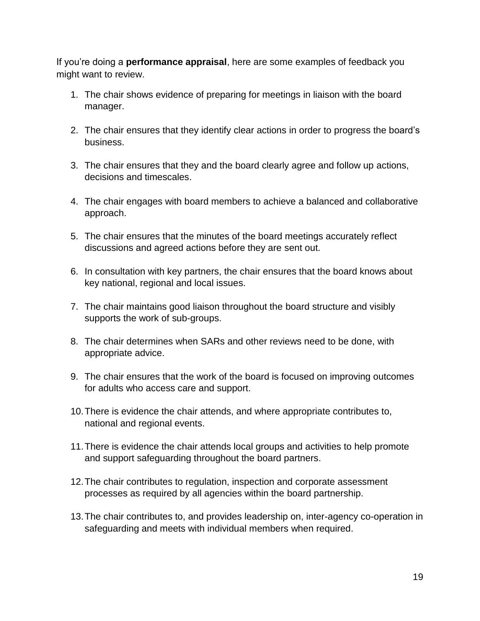If you're doing a **performance appraisal**, here are some examples of feedback you might want to review.

- 1. The chair shows evidence of preparing for meetings in liaison with the board manager.
- 2. The chair ensures that they identify clear actions in order to progress the board's business.
- 3. The chair ensures that they and the board clearly agree and follow up actions, decisions and timescales.
- 4. The chair engages with board members to achieve a balanced and collaborative approach.
- 5. The chair ensures that the minutes of the board meetings accurately reflect discussions and agreed actions before they are sent out.
- 6. In consultation with key partners, the chair ensures that the board knows about key national, regional and local issues.
- 7. The chair maintains good liaison throughout the board structure and visibly supports the work of sub-groups.
- 8. The chair determines when SARs and other reviews need to be done, with appropriate advice.
- 9. The chair ensures that the work of the board is focused on improving outcomes for adults who access care and support.
- 10.There is evidence the chair attends, and where appropriate contributes to, national and regional events.
- 11.There is evidence the chair attends local groups and activities to help promote and support safeguarding throughout the board partners.
- 12.The chair contributes to regulation, inspection and corporate assessment processes as required by all agencies within the board partnership.
- 13.The chair contributes to, and provides leadership on, inter-agency co-operation in safeguarding and meets with individual members when required.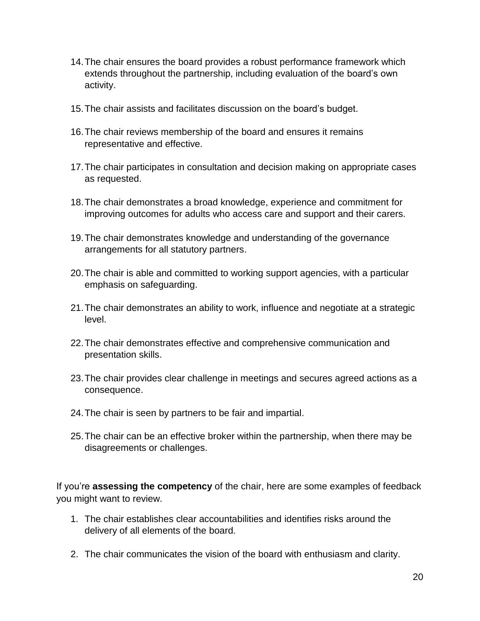- 14.The chair ensures the board provides a robust performance framework which extends throughout the partnership, including evaluation of the board's own activity.
- 15.The chair assists and facilitates discussion on the board's budget.
- 16.The chair reviews membership of the board and ensures it remains representative and effective.
- 17.The chair participates in consultation and decision making on appropriate cases as requested.
- 18.The chair demonstrates a broad knowledge, experience and commitment for improving outcomes for adults who access care and support and their carers.
- 19.The chair demonstrates knowledge and understanding of the governance arrangements for all statutory partners.
- 20.The chair is able and committed to working support agencies, with a particular emphasis on safeguarding.
- 21.The chair demonstrates an ability to work, influence and negotiate at a strategic level.
- 22.The chair demonstrates effective and comprehensive communication and presentation skills.
- 23.The chair provides clear challenge in meetings and secures agreed actions as a consequence.
- 24.The chair is seen by partners to be fair and impartial.
- 25.The chair can be an effective broker within the partnership, when there may be disagreements or challenges.

If you're **assessing the competency** of the chair, here are some examples of feedback you might want to review.

- 1. The chair establishes clear accountabilities and identifies risks around the delivery of all elements of the board.
- 2. The chair communicates the vision of the board with enthusiasm and clarity.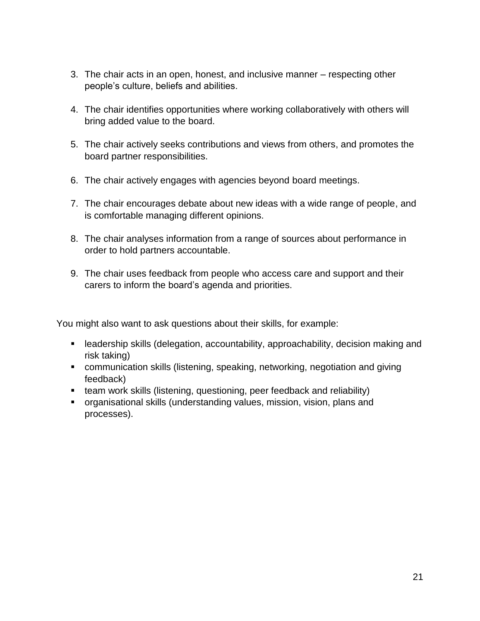- 3. The chair acts in an open, honest, and inclusive manner respecting other people's culture, beliefs and abilities.
- 4. The chair identifies opportunities where working collaboratively with others will bring added value to the board.
- 5. The chair actively seeks contributions and views from others, and promotes the board partner responsibilities.
- 6. The chair actively engages with agencies beyond board meetings.
- 7. The chair encourages debate about new ideas with a wide range of people, and is comfortable managing different opinions.
- 8. The chair analyses information from a range of sources about performance in order to hold partners accountable.
- 9. The chair uses feedback from people who access care and support and their carers to inform the board's agenda and priorities.

You might also want to ask questions about their skills, for example:

- leadership skills (delegation, accountability, approachability, decision making and risk taking)
- communication skills (listening, speaking, networking, negotiation and giving feedback)
- team work skills (listening, questioning, peer feedback and reliability)
- organisational skills (understanding values, mission, vision, plans and processes).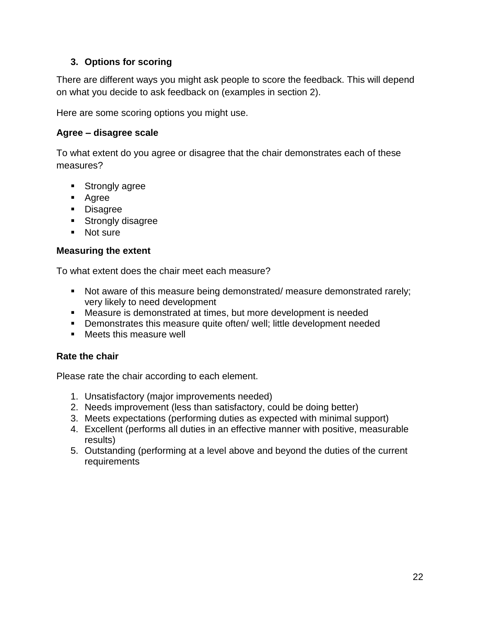#### **3. Options for scoring**

There are different ways you might ask people to score the feedback. This will depend on what you decide to ask feedback on (examples in section 2).

Here are some scoring options you might use.

#### **Agree – disagree scale**

To what extent do you agree or disagree that the chair demonstrates each of these measures?

- **Strongly agree**
- **Agree**
- **Disagree**
- **Strongly disagree**
- Not sure

#### **Measuring the extent**

To what extent does the chair meet each measure?

- Not aware of this measure being demonstrated/ measure demonstrated rarely; very likely to need development
- Measure is demonstrated at times, but more development is needed
- **•** Demonstrates this measure quite often/ well; little development needed
- **Neets this measure well**

#### **Rate the chair**

Please rate the chair according to each element.

- 1. Unsatisfactory (major improvements needed)
- 2. Needs improvement (less than satisfactory, could be doing better)
- 3. Meets expectations (performing duties as expected with minimal support)
- 4. Excellent (performs all duties in an effective manner with positive, measurable results)
- 5. Outstanding (performing at a level above and beyond the duties of the current requirements